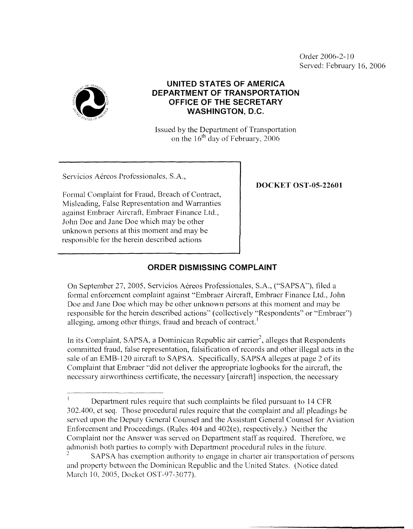Order 2006-2- 10 Served: February 16, 2006



## **UNITED STATES OF AMERICA DEPARTMENT OF TRANSPORTATION OFFICE OF THE SECRETARY WASHINGTON, D.C.**

Issued by the Department of Transportation on the  $16<sup>th</sup>$  day of February, 2006

Servicios Aéreos Professionales, S.A.,

Formal Complaint for Fraud, Breach of Contract, Misleading, False Representation and Warranties against Embraer Aircraft, Embraer Finance Ltd., John Doe and Jane Doe which may be other unknown persons at this moment and may be responsible for the herein described actions

**DOCKET OST-05-2260 1** 

## **ORDER DISMISSING COMPLAINT**

On September 27, 2005, Servicios Akreos Professionales, S.A., ("SAPSA"), tiled a formal enforcement complaint against "Embraer Aircraft, Embraer Finance Ltd., John Doe and Jane Doe which may be other unknown persons at this moment and may be responsible for the herein described actions" (collectively "Respondents" or "Embraer") alleging, among other things, fraud and breach of contract.

In its Complaint, SAPSA, a Dominican Republic air carrier<sup>2</sup>, alleges that Respondents committed fraud, false representation, falsification of records and other illegal acts in the sale of an EMB-120 aircraft to SAPSA. Specifically, SAPSA alleges at page 2 of its Complaint that Embraer "did not deliver the appropriate logbooks for the aircraft, the necessary airworthiness certificate, the necessary [aircraft] inspection, the necessary

Department rules require that such complaints be filed pursuant to 14 CFR 303.400, et seq. Those procedural rules require that the complaint and all pleadings be servcd upon the Deputy General Counsel and the Assistant General Counsel for Aviation Enforcement and Proceedings. (Rules  $404$  and  $402(e)$ , respectively.) Neither the Complaint nor the Answer was served on Department staff as required. Therefore, we admonish both parties to comply with Department procedural rules in the future. I

and propcrty between the Dominican Republic and the United States. (Notice dated SAPSA has exemption authority to engage in charter air transportation of persons *2*  March 10, 2005, Docket OST-97-3077).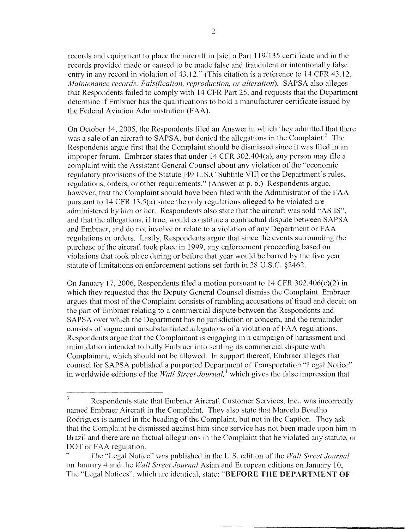records and equipment to place the aircraft in [sic] a Part 1 19/135 certificate and in the records provided made or caused to be made false and fraudulent or intentionally false entry in any record in violation of 43.12." (This citation is a reference to 14 CFR 43.12, *Maintenance records: Falsification, reproduction, or alteration*). SAPSA also alleges that Respondents failed to comply with 14 CFR Part 25. and requests that the Department determine if Embraer has the qualifications to hold a manufacturer certificate issued by the Federal Aviation Administration (FAA).

On October 14, 2005, the Respondents fled an Answer in which they admitted that there was a sale of an aircraft to SAPSA, but denied the allegations in the Complaint.<sup>3</sup> The Respondents argue first that the Complaint should be dismissed since it was filed in an improper forum. Embraer states that under  $14$  CFR 302.404(a), any person may file a complaint with the Assistant General Counsel about any violation of the "economic regulatory provisions of the Statute [49 U.S.C Subtitle VI11 or the Department's rules, regulations, orders, or other requirements." (Answer at p. 6.) Respondents argue, however, that the complaint should have been filed with the Administrator of the FAA pursuant to 14 CFR 13.5(a) since the only regulations alleged to be violated are administered by him or her. Respondents also state that the aircraft was sold "AS IS", and that the allegations, if true, would constitute a contractual dispute between SAPSA and Embraer, and do not involve or relate to a violation of any Department or FAA regulations or orders. Lastly, Respondents argue that since the events surrounding the purchase of the aircraft took place in 1999, any enforcement proceeding based on violations that took place during or before that year would be barred by the five year statute of limitations on enforcement actions set forth in 28 U.S.C. \$2462.

On January 17, 2006, Respondents filed a motion pursuant to 14 CFR 302.406(c)(2) in which they requested that the Deputy General Counsel dismiss the Complaint. Embraer argues that most of the Complaint consists of rambling accusations of fraud and deceit on the part of Embraer relating to a commercial dispute between the Respondents and SAPSA over which the Department has no jurisdiction or concern, and the remainder consists of vague and unsubstantiated allegations of a violation of FAA regulations. Respondents argue that the Complainant is engaging in a campaign of harassment and intimidation intended to bully Embraer into settling its commercial dispute with Complainant, which should not be allowed. In support thereof, Ernbraer alleges that counsel for SAPSA published a purported Department of Transportation "Legal Notice" in worldwide editions of the *Wall Street Journal*,<sup>4</sup> which gives the false impression that

Respondents state that Embraer Aircraft Customer Services, Inc., was incorrectly *<sup>3</sup>* named Enibraer Aircraft in the Complaint. They also state that Marcelo Botelho Rodrigues is named in the heading of the Complaint, but not in the Caption. They ask that the Complaint be dismissed against him since service has not been made upon him in Brazil and there are no factual allegations in the Complaint that he violated any statute, or DOT or FAA regulation.

The "Legal Notice" was publishcd in the U.S. edition of the *Hh/L Strrct Journal*  on January 4 and the *Wall Street Journal* Asian and European editions on January 10, The "Legal Notices", which are identical, state: "BEFORE THE DEPARTMENT OF 4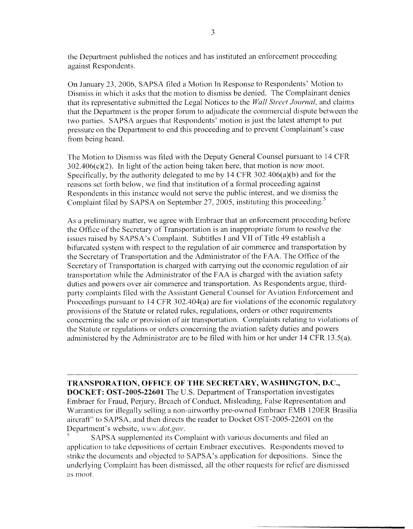the Department published the notices and has instituted an enforcement proceeding against Respondents.

On January 23,2006, SAPSA filed a Motion In Response to Respondents' Motion to Dismiss in which it asks that the motion to dismiss be denied. The Complainant denies that its representative submitted the Legal Notices to the *Wall Street Journal*, and claims that the Department is the proper forum to adjudicate the commercial dispute between the two parties. SAPSA argues that Respondents' motion is just the latest attempt to put pressure on the Department to end this proceeding and to prevent Complainant's case from being heard.

The Motion to Dismiss was filed with the Deputy General Counsel pursuant to 14 CFR  $302.406(c)(2)$ . In light of the action being taken here, that motion is now moot. Specifically, by the authority delegated to me by 14 CFR 302.406(a)(b) and for the reasons set forth below, we find that institution of a formal proceeding against Respondents in this instancc would not serve the public interest, and we dismiss the Complaint filed by SAPSA on September 27, 2005, instituting this proceeding. $^{5}$ 

As a preliminary matter, we agree with Embraer that an enforcement proceeding before the Office of the Secretary of Transportation is an inappropriate forum to resolve the issues raised by SAPSA's Complaint. Subtitles I and VII of Title 49 establish a bifurcated system with respect to the regulation of air commerce and transportation by the Secretary of Transportation and the Administrator of the FAA. The Office of the Secretary of Transportation is charged with carrying out the economic regulation of air transportation while the Administrator of the FAA is charged with the aviation safety duties and powers over air commerce and transportation. **As** Respondents argue, thirdparty complaints filed with the Assistant General Counsel for Aviation Enforcement and Proceedings pursuant to  $14$  CFR 302.404(a) are for violations of the economic regulatory provisions of the Statute or related rules, regulations, orders or other requirements concerning the sale or provision of air transportation. Complaints relating to violations of the Statute or regulations or orders concerning the aviation safety duties and powers administered by the Administrator are to be filed with him or her under 14 CFR 13.5(a).

**TRANSPORATION, OFFICE OF THE SECRETARY, WASHINGTON, D.C., DOCKET: OST-2005-22601** The U.S. Department of Transportation investigates Embraer for Fraud, Perjury, Breach of Conduct, Misleading, False Representation and Warrantics for illegally selling a non-airworthy pre-owned Embraer EMB 120ER Brasilia aircraft" to SAPSA, and then directs the reader to Docket OST-2005-22601 on the Department's website, www.dot.gov.

application to take depositions of certain Embraer executives. Respondents moved to strike the documents and objected to SAPSA's application for depositions. Since the underlying Complaint has been dismissed, all the other requests for relief are dismissed 5 SAPSA supplemented its Complaint with various documents and filed an *LIS moot.*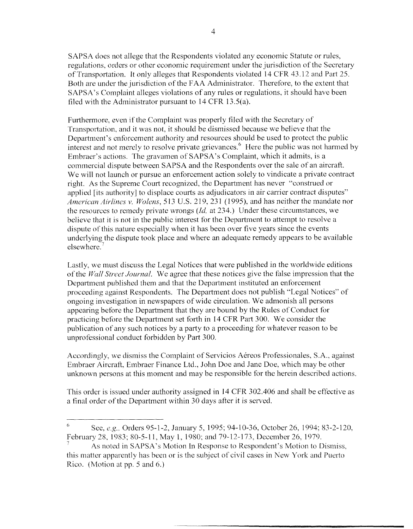SAPSA does not allege that the Respondents violated any economic Statute or rules, regulations, orders or other economic requirement under the jurisdiction of the Secretary of Transportation. It only alleges that Respondents violated 14 CFR 43.12 and Part 25. Both are under the jurisdiction of the FAA Administrator. Therefore, to the extent that SAPSA's Complaint alleges violations of any rules or regulations, it should have been filed with the Administrator pursuant to  $14$  CFR  $13.5(a)$ .

Furthermore, even if the Complaint was properly filed with the Secrctary of Transportation. and it was not, it should be dismissed because we believe that the Department's enforcement authority and resources should be used to protect the public interest and not merely to resolve private grievances. $\frac{6}{1}$  Here the public was not harmed by Embraer's actions. The gravamen of SAPSA's Complaint, which it admits, is a commercial dispute between SAPSA and the Respondents over the sale of an aircraft. We will not launch or pursue an enforcement action solely to vindicate a private contract right. As the Supreme Court recognized, the Department has never "construed or applied [its authority] to displace courts as adjudicators in air carrier contract disputes" *American Airlines v. Wolens, 513 U.S. 219, 231 (1995), and has neither the mandate nor* the resources to remedy private wrongs *(Id,* at 234.) Under these circumstances, we believe that it is not in the public interest for the Department to attempt to resolve a dispute of this nature especially when it has been over five years since the events underlying the dispute took place and where an adequate remedy appears to be available elsewhere.

LastIy, we must discuss the Legal Notices that were published in the worldwide editions of the *Wall Street Journal*. We agree that these notices give the false impression that the Department published them and that the Department instituted an enforcement proceeding against Respondents. The Department does not publish "Legal Notices" of ongoing investigation in newspapers of wide circulation. We admonish all persons appearing before the Department that they are bound by the Rules of Conduct for practicing before the Department set forth in 14 CFR Part 300. We consider the publication of any such notices by a party to a proceeding for whatever reason to be unprofessional conduct forbidden by Part 300.

Accordingly, we dismiss the Complaint of Servicios Aereos Professionales, SA., against Embracr Aircraft, Embraer Finance Ltd., John Doe and Jane Doe, which may be other unknown persons at this moment and may be responsible for the herein described actions.

This order is issued under authority assigned in 14 CFR 302.406 and shall be effective as a final order of the Department within 30 days after it is served.

See, *e.g.*, Orders 95-1-2, January 5, 1995; 94-10-36, October 26, 1994; 83-2-120, February 28, 1983; 80-5-11, May 1, 1980; and 79-12-173, December 26, 1979. 6

As noted in SAPSA's Motion In Rcsponse to Rcspondcnt's Motion to Dismiss, this matter apparently has been or is the subject of civil cases in New York and Puerto Rico. (Motion at pp. 5 and 6.) *I*